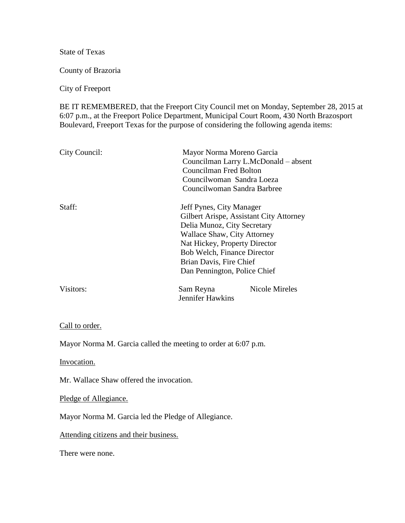State of Texas

County of Brazoria

City of Freeport

BE IT REMEMBERED, that the Freeport City Council met on Monday, September 28, 2015 at 6:07 p.m., at the Freeport Police Department, Municipal Court Room, 430 North Brazosport Boulevard, Freeport Texas for the purpose of considering the following agenda items:

| City Council: | Mayor Norma Moreno Garcia<br>Councilman Larry L.McDonald – absent<br>Councilman Fred Bolton<br>Councilwoman Sandra Loeza<br>Councilwoman Sandra Barbree                                                                         |                                         |
|---------------|---------------------------------------------------------------------------------------------------------------------------------------------------------------------------------------------------------------------------------|-----------------------------------------|
| Staff:        | Jeff Pynes, City Manager<br>Delia Munoz, City Secretary<br><b>Wallace Shaw, City Attorney</b><br>Nat Hickey, Property Director<br><b>Bob Welch, Finance Director</b><br>Brian Davis, Fire Chief<br>Dan Pennington, Police Chief | Gilbert Arispe, Assistant City Attorney |
| Visitors:     | Sam Reyna<br>Jennifer Hawkins                                                                                                                                                                                                   | <b>Nicole Mireles</b>                   |

## Call to order.

Mayor Norma M. Garcia called the meeting to order at 6:07 p.m.

Invocation.

Mr. Wallace Shaw offered the invocation.

Pledge of Allegiance.

Mayor Norma M. Garcia led the Pledge of Allegiance.

Attending citizens and their business.

There were none.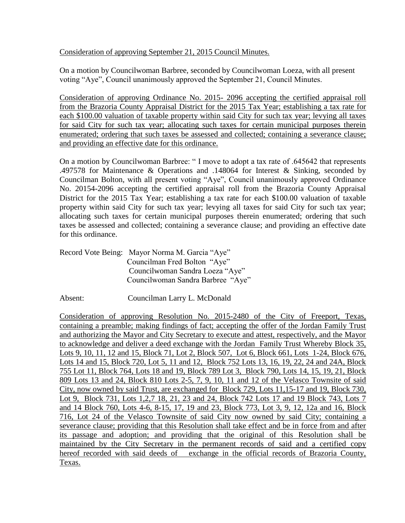Consideration of approving September 21, 2015 Council Minutes.

On a motion by Councilwoman Barbree, seconded by Councilwoman Loeza, with all present voting "Aye", Council unanimously approved the September 21, Council Minutes.

Consideration of approving Ordinance No. 2015- 2096 accepting the certified appraisal roll from the Brazoria County Appraisal District for the 2015 Tax Year; establishing a tax rate for each \$100.00 valuation of taxable property within said City for such tax year; levying all taxes for said City for such tax year; allocating such taxes for certain municipal purposes therein enumerated; ordering that such taxes be assessed and collected; containing a severance clause; and providing an effective date for this ordinance.

On a motion by Councilwoman Barbree: " I move to adopt a tax rate of .645642 that represents .497578 for Maintenance & Operations and .148064 for Interest & Sinking, seconded by Councilman Bolton, with all present voting "Aye", Council unanimously approved Ordinance No. 20154-2096 accepting the certified appraisal roll from the Brazoria County Appraisal District for the 2015 Tax Year; establishing a tax rate for each \$100.00 valuation of taxable property within said City for such tax year; levying all taxes for said City for such tax year; allocating such taxes for certain municipal purposes therein enumerated; ordering that such taxes be assessed and collected; containing a severance clause; and providing an effective date for this ordinance.

Record Vote Being: Mayor Norma M. Garcia "Aye" Councilman Fred Bolton "Aye" Councilwoman Sandra Loeza "Aye" Councilwoman Sandra Barbree "Aye"

Absent: Councilman Larry L. McDonald

Consideration of approving Resolution No. 2015-2480 of the City of Freeport, Texas, containing a preamble; making findings of fact; accepting the offer of the Jordan Family Trust and authorizing the Mayor and City Secretary to execute and attest, respectively, and the Mayor to acknowledge and deliver a deed exchange with the Jordan Family Trust Whereby Block 35, Lots 9, 10, 11, 12 and 15, Block 71, Lot 2, Block 507, Lot 6, Block 661, Lots 1-24, Block 676, Lots 14 and 15, Block 720, Lot 5, 11 and 12, Block 752 Lots 13, 16, 19, 22, 24 and 24A, Block 755 Lot 11, Block 764, Lots 18 and 19, Block 789 Lot 3, Block 790, Lots 14, 15, 19, 21, Block 809 Lots 13 and 24, Block 810 Lots 2-5, 7, 9, 10, 11 and 12 of the Velasco Townsite of said City, now owned by said Trust, are exchanged for Block 729, Lots 11,15-17 and 19, Block 730, Lot 9, Block 731, Lots 1,2,7 18, 21, 23 and 24, Block 742 Lots 17 and 19 Block 743, Lots 7 and 14 Block 760, Lots 4-6, 8-15, 17, 19 and 23, Block 773, Lot 3, 9, 12, 12a and 16, Block 716, Lot 24 of the Velasco Townsite of said City now owned by said City; containing a severance clause; providing that this Resolution shall take effect and be in force from and after its passage and adoption; and providing that the original of this Resolution shall be maintained by the City Secretary in the permanent records of said and a certified copy hereof recorded with said deeds of exchange in the official records of Brazoria County, Texas.